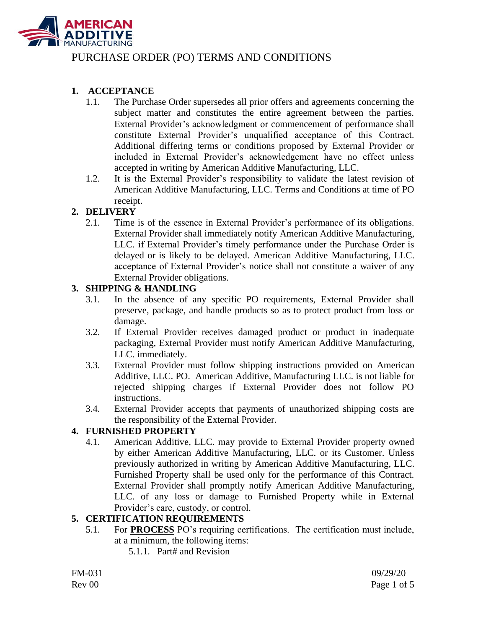

### **1. ACCEPTANCE**

- 1.1. The Purchase Order supersedes all prior offers and agreements concerning the subject matter and constitutes the entire agreement between the parties. External Provider's acknowledgment or commencement of performance shall constitute External Provider's unqualified acceptance of this Contract. Additional differing terms or conditions proposed by External Provider or included in External Provider's acknowledgement have no effect unless accepted in writing by American Additive Manufacturing, LLC.
- 1.2. It is the External Provider's responsibility to validate the latest revision of American Additive Manufacturing, LLC. Terms and Conditions at time of PO receipt.

### **2. DELIVERY**

2.1. Time is of the essence in External Provider's performance of its obligations. External Provider shall immediately notify American Additive Manufacturing, LLC. if External Provider's timely performance under the Purchase Order is delayed or is likely to be delayed. American Additive Manufacturing, LLC. acceptance of External Provider's notice shall not constitute a waiver of any External Provider obligations.

#### **3. SHIPPING & HANDLING**

- 3.1. In the absence of any specific PO requirements, External Provider shall preserve, package, and handle products so as to protect product from loss or damage.
- 3.2. If External Provider receives damaged product or product in inadequate packaging, External Provider must notify American Additive Manufacturing, LLC. immediately.
- 3.3. External Provider must follow shipping instructions provided on American Additive, LLC. PO. American Additive, Manufacturing LLC. is not liable for rejected shipping charges if External Provider does not follow PO instructions.
- 3.4. External Provider accepts that payments of unauthorized shipping costs are the responsibility of the External Provider.

#### **4. FURNISHED PROPERTY**

4.1. American Additive, LLC. may provide to External Provider property owned by either American Additive Manufacturing, LLC. or its Customer. Unless previously authorized in writing by American Additive Manufacturing, LLC. Furnished Property shall be used only for the performance of this Contract. External Provider shall promptly notify American Additive Manufacturing, LLC. of any loss or damage to Furnished Property while in External Provider's care, custody, or control.

#### **5. CERTIFICATION REQUIREMENTS**

- 5.1. For **PROCESS** PO's requiring certifications. The certification must include, at a minimum, the following items:
	- 5.1.1. Part# and Revision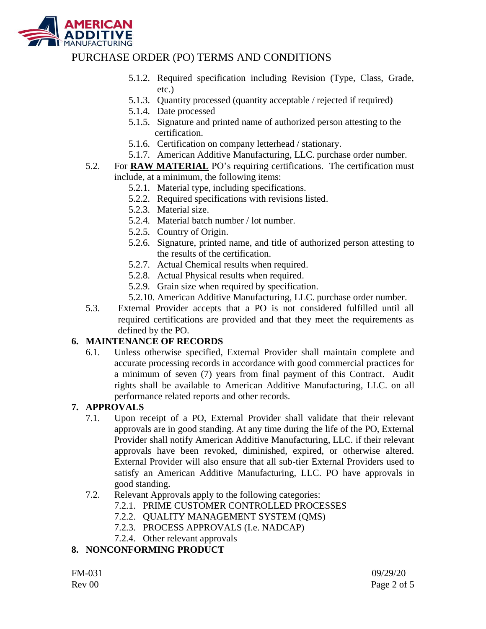

- 5.1.2. Required specification including Revision (Type, Class, Grade, etc.)
- 5.1.3. Quantity processed (quantity acceptable / rejected if required)
- 5.1.4. Date processed
- 5.1.5. Signature and printed name of authorized person attesting to the certification.
- 5.1.6. Certification on company letterhead / stationary.
- 5.1.7. American Additive Manufacturing, LLC. purchase order number.
- 5.2. For **RAW MATERIAL** PO's requiring certifications. The certification must include, at a minimum, the following items:
	- 5.2.1. Material type, including specifications.
	- 5.2.2. Required specifications with revisions listed.
	- 5.2.3. Material size.
	- 5.2.4. Material batch number / lot number.
	- 5.2.5. Country of Origin.
	- 5.2.6. Signature, printed name, and title of authorized person attesting to the results of the certification.
	- 5.2.7. Actual Chemical results when required.
	- 5.2.8. Actual Physical results when required.
	- 5.2.9. Grain size when required by specification.
	- 5.2.10. American Additive Manufacturing, LLC. purchase order number.
- 5.3. External Provider accepts that a PO is not considered fulfilled until all required certifications are provided and that they meet the requirements as defined by the PO.

## **6. MAINTENANCE OF RECORDS**

6.1. Unless otherwise specified, External Provider shall maintain complete and accurate processing records in accordance with good commercial practices for a minimum of seven (7) years from final payment of this Contract. Audit rights shall be available to American Additive Manufacturing, LLC. on all performance related reports and other records.

### **7. APPROVALS**

- 7.1. Upon receipt of a PO, External Provider shall validate that their relevant approvals are in good standing. At any time during the life of the PO, External Provider shall notify American Additive Manufacturing, LLC. if their relevant approvals have been revoked, diminished, expired, or otherwise altered. External Provider will also ensure that all sub-tier External Providers used to satisfy an American Additive Manufacturing, LLC. PO have approvals in good standing.
- 7.2. Relevant Approvals apply to the following categories:
	- 7.2.1. PRIME CUSTOMER CONTROLLED PROCESSES
	- 7.2.2. QUALITY MANAGEMENT SYSTEM (QMS)
	- 7.2.3. PROCESS APPROVALS (I.e. NADCAP)
	- 7.2.4. Other relevant approvals

## **8. NONCONFORMING PRODUCT**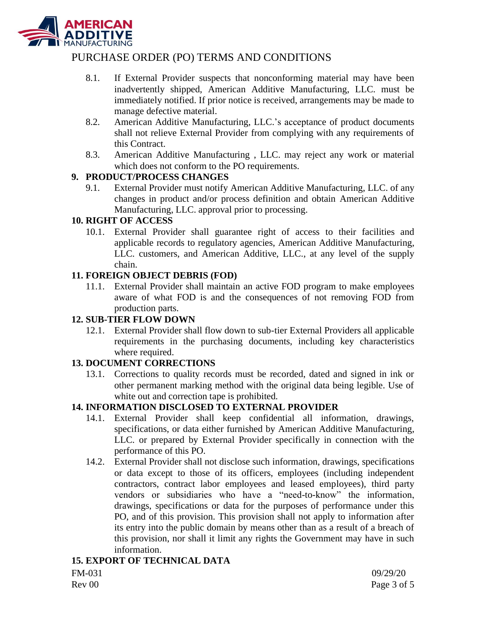

- 8.1. If External Provider suspects that nonconforming material may have been inadvertently shipped, American Additive Manufacturing, LLC. must be immediately notified. If prior notice is received, arrangements may be made to manage defective material.
- 8.2. American Additive Manufacturing, LLC.'s acceptance of product documents shall not relieve External Provider from complying with any requirements of this Contract.
- 8.3. American Additive Manufacturing , LLC. may reject any work or material which does not conform to the PO requirements.

### **9. PRODUCT/PROCESS CHANGES**

9.1. External Provider must notify American Additive Manufacturing, LLC. of any changes in product and/or process definition and obtain American Additive Manufacturing, LLC. approval prior to processing.

### **10. RIGHT OF ACCESS**

10.1. External Provider shall guarantee right of access to their facilities and applicable records to regulatory agencies, American Additive Manufacturing, LLC. customers, and American Additive, LLC., at any level of the supply chain.

### **11. FOREIGN OBJECT DEBRIS (FOD)**

11.1. External Provider shall maintain an active FOD program to make employees aware of what FOD is and the consequences of not removing FOD from production parts.

### **12. SUB-TIER FLOW DOWN**

12.1. External Provider shall flow down to sub-tier External Providers all applicable requirements in the purchasing documents, including key characteristics where required.

## **13. DOCUMENT CORRECTIONS**

13.1. Corrections to quality records must be recorded, dated and signed in ink or other permanent marking method with the original data being legible. Use of white out and correction tape is prohibited.

# **14. INFORMATION DISCLOSED TO EXTERNAL PROVIDER**

- 14.1. External Provider shall keep confidential all information, drawings, specifications, or data either furnished by American Additive Manufacturing, LLC. or prepared by External Provider specifically in connection with the performance of this PO.
- 14.2. External Provider shall not disclose such information, drawings, specifications or data except to those of its officers, employees (including independent contractors, contract labor employees and leased employees), third party vendors or subsidiaries who have a "need-to-know" the information, drawings, specifications or data for the purposes of performance under this PO, and of this provision. This provision shall not apply to information after its entry into the public domain by means other than as a result of a breach of this provision, nor shall it limit any rights the Government may have in such information.

## **15. EXPORT OF TECHNICAL DATA**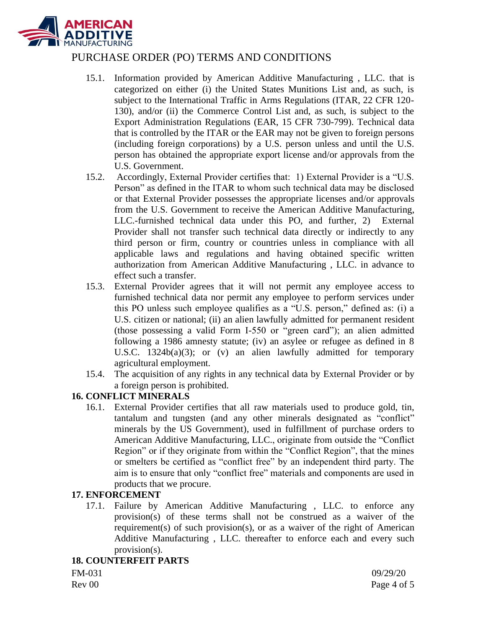

- 15.1. Information provided by American Additive Manufacturing , LLC. that is categorized on either (i) the United States Munitions List and, as such, is subject to the International Traffic in Arms Regulations (ITAR, 22 CFR 120- 130), and/or (ii) the Commerce Control List and, as such, is subject to the Export Administration Regulations (EAR, 15 CFR 730-799). Technical data that is controlled by the ITAR or the EAR may not be given to foreign persons (including foreign corporations) by a U.S. person unless and until the U.S. person has obtained the appropriate export license and/or approvals from the U.S. Government.
- 15.2. Accordingly, External Provider certifies that: 1) External Provider is a "U.S. Person" as defined in the ITAR to whom such technical data may be disclosed or that External Provider possesses the appropriate licenses and/or approvals from the U.S. Government to receive the American Additive Manufacturing, LLC.-furnished technical data under this PO, and further, 2) External Provider shall not transfer such technical data directly or indirectly to any third person or firm, country or countries unless in compliance with all applicable laws and regulations and having obtained specific written authorization from American Additive Manufacturing , LLC. in advance to effect such a transfer.
- 15.3. External Provider agrees that it will not permit any employee access to furnished technical data nor permit any employee to perform services under this PO unless such employee qualifies as a "U.S. person," defined as: (i) a U.S. citizen or national; (ii) an alien lawfully admitted for permanent resident (those possessing a valid Form I-550 or "green card"); an alien admitted following a 1986 amnesty statute; (iv) an asylee or refugee as defined in 8 U.S.C. 1324b(a)(3); or (v) an alien lawfully admitted for temporary agricultural employment.
- 15.4. The acquisition of any rights in any technical data by External Provider or by a foreign person is prohibited.

### **16. CONFLICT MINERALS**

16.1. External Provider certifies that all raw materials used to produce gold, tin, tantalum and tungsten (and any other minerals designated as "conflict" minerals by the US Government), used in fulfillment of purchase orders to American Additive Manufacturing, LLC., originate from outside the "Conflict Region" or if they originate from within the "Conflict Region", that the mines or smelters be certified as "conflict free" by an independent third party. The aim is to ensure that only "conflict free" materials and components are used in products that we procure.

#### **17. ENFORCEMENT**

17.1. Failure by American Additive Manufacturing , LLC. to enforce any provision(s) of these terms shall not be construed as a waiver of the requirement(s) of such provision(s), or as a waiver of the right of American Additive Manufacturing , LLC. thereafter to enforce each and every such provision(s).

#### **18. COUNTERFEIT PARTS**

FM-031 09/29/20 Rev 00 Page 4 of 5